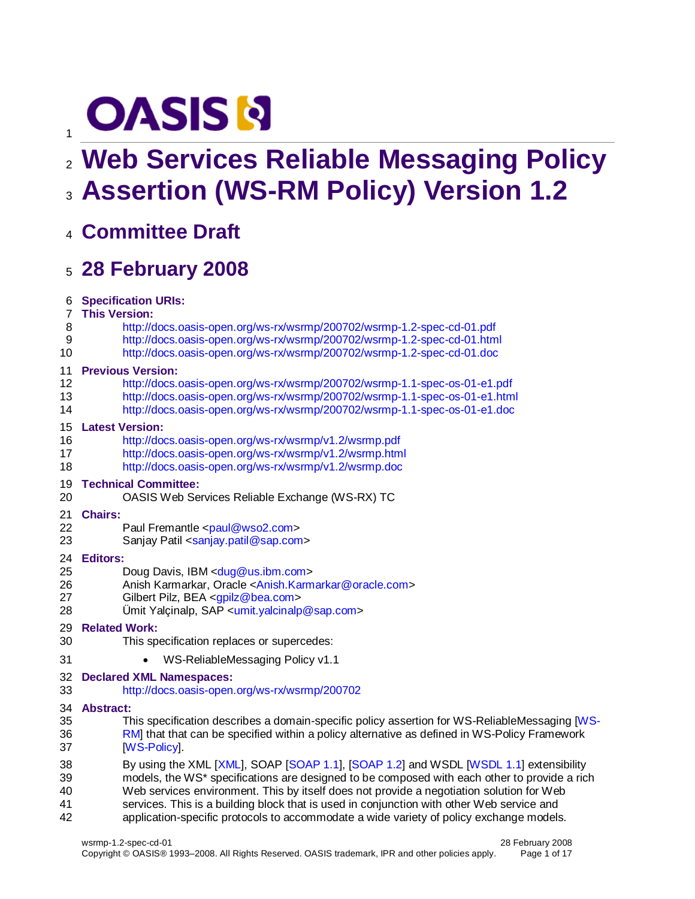# **OASIS N**

# **Web Services Reliable Messaging Policy Assertion (WS-RM Policy) Version 1.2**

**Committee Draft**

# **28 February 2008**

**Specification URIs:**

#### **This Version:**

- <http://docs.oasis-open.org/ws-rx/wsrmp/200702/wsrmp-1.2-spec-cd-01.pdf>
- <http://docs.oasis-open.org/ws-rx/wsrmp/200702/wsrmp-1.2-spec-cd-01.html>
- <http://docs.oasis-open.org/ws-rx/wsrmp/200702/wsrmp-1.2-spec-cd-01.doc>

### **Previous Version:**

- <http://docs.oasis-open.org/ws-rx/wsrmp/200702/wsrmp-1.1-spec-os-01-e1.pdf>
- <http://docs.oasis-open.org/ws-rx/wsrmp/200702/wsrmp-1.1-spec-os-01-e1.html>
- <http://docs.oasis-open.org/ws-rx/wsrmp/200702/wsrmp-1.1-spec-os-01-e1.doc>

### **Latest Version:**

- <http://docs.oasis-open.org/ws-rx/wsrmp/v1.2/wsrmp.pdf>
- <http://docs.oasis-open.org/ws-rx/wsrmp/v1.2/wsrmp.html>
- <http://docs.oasis-open.org/ws-rx/wsrmp/v1.2/wsrmp.doc>

### **Technical Committee:**

OASIS Web Services Reliable Exchange (WS-RX) TC

### **Chairs:**

- 22 Paul Fremantle [<paul@wso2.com>](mailto:paul@wso2.com)
- 23 Sanjay Patil [<sanjay.patil@sap.com>](mailto:sanjay.patil@sap.com)

### **Editors:**

- 25 Doug Davis, IBM [<dug@us.ibm.com>](mailto:dug@us.ibm.com)
- Anish Karmarkar, Oracle [<Anish.Karmarkar@oracle.com>](mailto:Anish.Karmarkar@oracle.com)
- Gilbert Pilz, BEA [<gpilz@bea.com>](mailto:gpilz@bea.com)
- Ümit Yalçinalp, SAP [<umit.yalcinalp@sap.com>](mailto:umit.yalcinalp@sap.com)
- **Related Work:**
- This specification replaces or supercedes:
- **WS-ReliableMessaging Policy v1.1**
- **Declared XML Namespaces:**
- <http://docs.oasis-open.org/ws-rx/wsrmp/200702>

### **Abstract:**

- This specification describes a domain-specific policy assertion for WS-ReliableMessaging [\[WS-](#page-5-0) [RM\]](#page-5-0) that that can be specified within a policy alternative as defined in WS-Policy Framework **IWS-Policy**
- By using the XML [\[XML\]](#page-5-2), SOAP [\[SOAP 1.1\]](#page-4-0), [\[SOAP 1.2\]](#page-5-3) and WSDL [\[WSDL 1.1\]](#page-5-4) extensibility models, the WS\* specifications are designed to be composed with each other to provide a rich Web services environment. This by itself does not provide a negotiation solution for Web services. This is a building block that is used in conjunction with other Web service and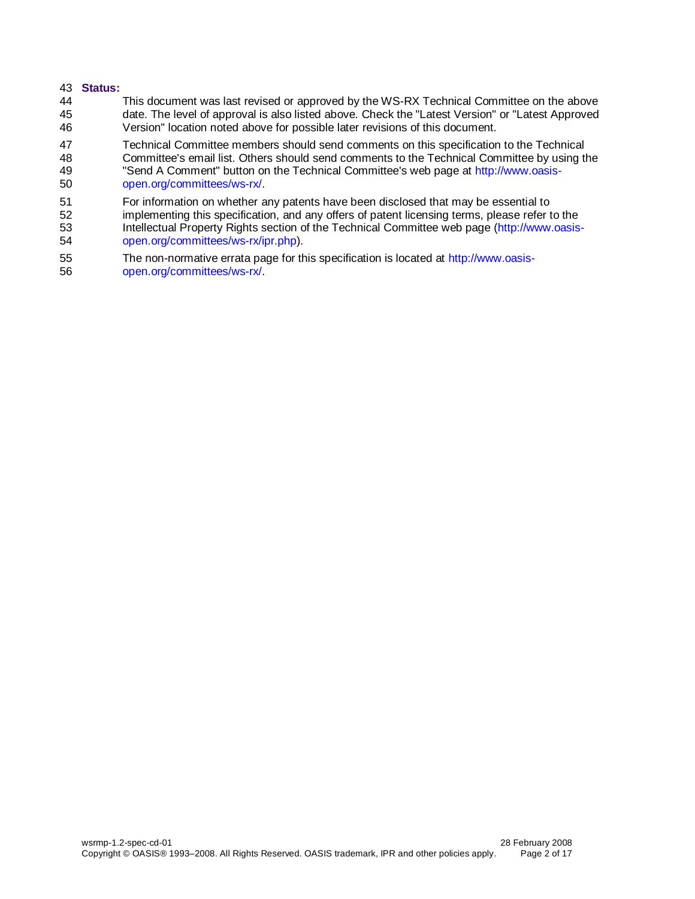#### 43 **Status:**

44 This document was last revised or approved by the WS-RX Technical Committee on the above 45 date. The level of approval is also listed above. Check the "Latest Version" or "Latest Approved 46 Version" location noted above for possible later revisions of this document.

47 Technical Committee members should send comments on this specification to the Technical<br>48 Committee's email list. Others should send comments to the Technical Committee by using the Committee's email list. Others should send comments to the Technical Committee by using the 49 "Send A Comment" button on the Technical Committee's web page at [http://www.oasis-](http://www.oasis-open.org/committees/ws-rx/)

50 [open.org/committees/ws-rx/.](http://www.oasis-open.org/committees/ws-rx/)

51 For information on whether any patents have been disclosed that may be essential to<br>52 implementing this specification, and any offers of patent licensing terms, please refer to 52 implementing this specification, and any offers of patent licensing terms, please refer to the<br>53 Intellectual Property Rights section of the Technical Committee web page (http://www.oasis-Intellectual Property Rights section of the Technical Committee web page [\(http://www.oasis-](http://www.oasis-open.org/committees/ws-rx/ipr.php)54 [open.org/committees/ws-rx/ipr.php\)](http://www.oasis-open.org/committees/ws-rx/ipr.php).

55 The non-normative errata page for this specification is located at [http://www.oasis-](http://www.oasis-open.org/committees/ws-rx/)56 [open.org/committees/ws-rx/.](http://www.oasis-open.org/committees/ws-rx/)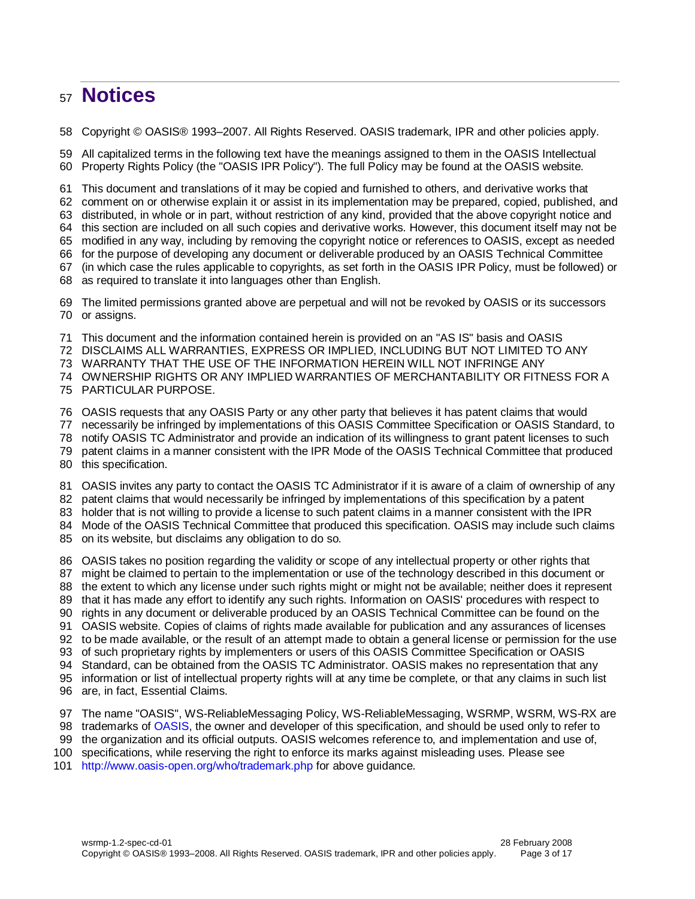# **Notices**

Copyright © OASIS® 1993–2007. All Rights Reserved. OASIS trademark, IPR and other policies apply.

 All capitalized terms in the following text have the meanings assigned to them in the OASIS Intellectual Property Rights Policy (the "OASIS IPR Policy"). The full Policy may be found at the OASIS website.

This document and translations of it may be copied and furnished to others, and derivative works that

comment on or otherwise explain it or assist in its implementation may be prepared, copied, published, and

distributed, in whole or in part, without restriction of any kind, provided that the above copyright notice and

this section are included on all such copies and derivative works. However, this document itself may not be

modified in any way, including by removing the copyright notice or references to OASIS, except as needed

 for the purpose of developing any document or deliverable produced by an OASIS Technical Committee (in which case the rules applicable to copyrights, as set forth in the OASIS IPR Policy, must be followed) or

as required to translate it into languages other than English.

 The limited permissions granted above are perpetual and will not be revoked by OASIS or its successors or assigns.

This document and the information contained herein is provided on an "AS IS" basis and OASIS

DISCLAIMS ALL WARRANTIES, EXPRESS OR IMPLIED, INCLUDING BUT NOT LIMITED TO ANY

WARRANTY THAT THE USE OF THE INFORMATION HEREIN WILL NOT INFRINGE ANY

OWNERSHIP RIGHTS OR ANY IMPLIED WARRANTIES OF MERCHANTABILITY OR FITNESS FOR A

PARTICULAR PURPOSE.

OASIS requests that any OASIS Party or any other party that believes it has patent claims that would

necessarily be infringed by implementations of this OASIS Committee Specification or OASIS Standard, to

- notify OASIS TC Administrator and provide an indication of its willingness to grant patent licenses to such
- patent claims in a manner consistent with the IPR Mode of the OASIS Technical Committee that produced

this specification.

OASIS invites any party to contact the OASIS TC Administrator if it is aware of a claim of ownership of any

patent claims that would necessarily be infringed by implementations of this specification by a patent

holder that is not willing to provide a license to such patent claims in a manner consistent with the IPR

Mode of the OASIS Technical Committee that produced this specification. OASIS may include such claims

on its website, but disclaims any obligation to do so.

OASIS takes no position regarding the validity or scope of any intellectual property or other rights that

might be claimed to pertain to the implementation or use of the technology described in this document or

- 88 the extent to which any license under such rights might or might not be available; neither does it represent
- that it has made any effort to identify any such rights. Information on OASIS' procedures with respect to
- rights in any document or deliverable produced by an OASIS Technical Committee can be found on the

OASIS website. Copies of claims of rights made available for publication and any assurances of licenses

to be made available, or the result of an attempt made to obtain a general license or permission for the use

of such proprietary rights by implementers or users of this OASIS Committee Specification or OASIS

Standard, can be obtained from the OASIS TC Administrator. OASIS makes no representation that any

information or list of intellectual property rights will at any time be complete, or that any claims in such list

- are, in fact, Essential Claims.
- The name "OASIS", WS-ReliableMessaging Policy, WS-ReliableMessaging, WSRMP, WSRM, WS-RX are
- trademarks of [OASIS,](http://www.oasis-open.org/) the owner and developer of this specification, and should be used only to refer to
- the organization and its official outputs. OASIS welcomes reference to, and implementation and use of,
- specifications, while reserving the right to enforce its marks against misleading uses. Please see
- <http://www.oasis-open.org/who/trademark.php> for above guidance.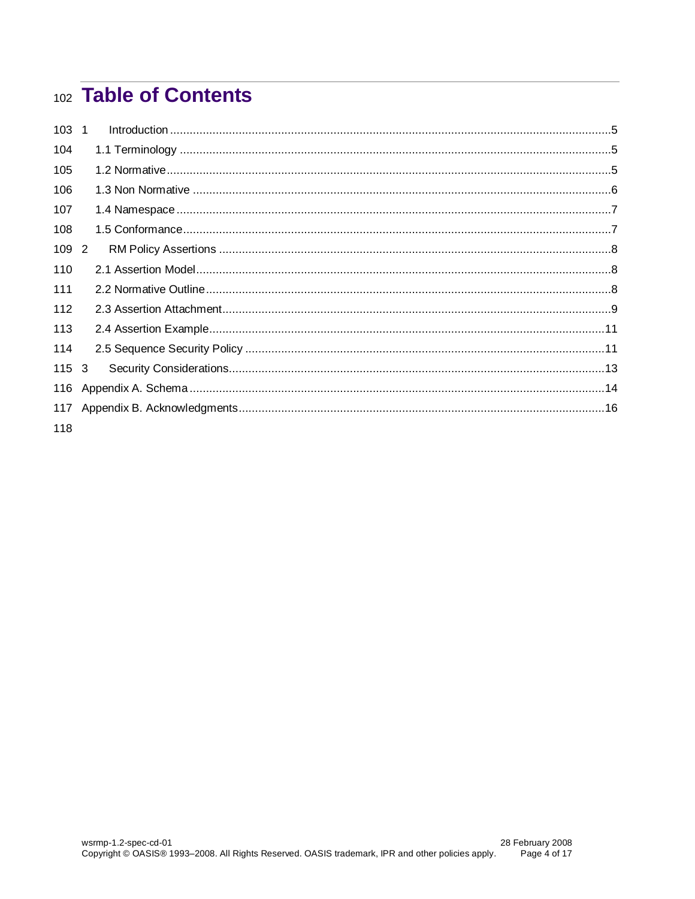# 102 Table of Contents

| 103 1 |  |
|-------|--|
| 104   |  |
| 105   |  |
| 106   |  |
| 107   |  |
| 108   |  |
| 109 2 |  |
| 110   |  |
| 111   |  |
| 112   |  |
| 113   |  |
| 114   |  |
| 115 3 |  |
| 116   |  |
| 117   |  |
| 118   |  |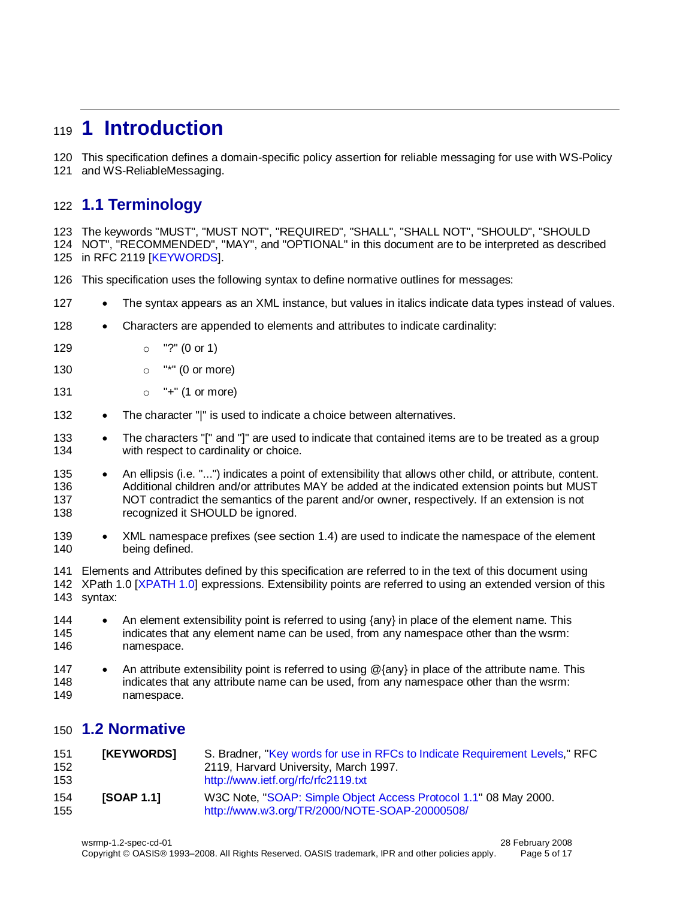# <span id="page-4-1"></span>**1 Introduction**

This specification defines a domain-specific policy assertion for reliable messaging for use with WS-Policy

and WS-ReliableMessaging.

# <span id="page-4-2"></span>**1.1 Terminology**

 The keywords "MUST", "MUST NOT", "REQUIRED", "SHALL", "SHALL NOT", "SHOULD", "SHOULD NOT", "RECOMMENDED", "MAY", and "OPTIONAL" in this document are to be interpreted as described in RFC 2119 [\[KEYWORDS\]](#page-4-4).

- This specification uses the following syntax to define normative outlines for messages:
- 127 The syntax appears as an XML instance, but values in italics indicate data types instead of values.
- 128 Characters are appended to elements and attributes to indicate cardinality:
- o "?" (0 or 1)
- **o** "\*" (0 or more)
- 131  $\circ$  "+" (1 or more)
- 132 The character "|" is used to indicate a choice between alternatives.
- 133 The characters "[" and "]" are used to indicate that contained items are to be treated as a group 134 with respect to cardinality or choice.
- 135 An ellipsis (i.e. "...") indicates a point of extensibility that allows other child, or attribute, content. Additional children and/or attributes MAY be added at the indicated extension points but MUST NOT contradict the semantics of the parent and/or owner, respectively. If an extension is not 138 recognized it SHOULD be ignored.
- 139 XML namespace prefixes (see section [1.4\)](#page-6-0) are used to indicate the namespace of the element being defined.

 Elements and Attributes defined by this specification are referred to in the text of this document using XPath 1.0 [\[XPATH 1.0\]](#page-5-6) expressions. Extensibility points are referred to using an extended version of this syntax:

- 144 An element extensibility point is referred to using  $\{\text{any}\}$  in place of the element name. This indicates that any element name can be used, from any namespace other than the wsrm: namespace.
- 147 An attribute extensibility point is referred to using @{any} in place of the attribute name. This indicates that any attribute name can be used, from any namespace other than the wsrm: namespace.

## <span id="page-4-3"></span>**1.2 Normative**

<span id="page-4-4"></span><span id="page-4-0"></span>

| 151<br>152<br>153 | [KEYWORDS]        | S. Bradner, "Key words for use in RFCs to Indicate Requirement Levels," RFC<br>2119, Harvard University, March 1997.<br>http://www.ietf.org/rfc/rfc2119.txt |
|-------------------|-------------------|-------------------------------------------------------------------------------------------------------------------------------------------------------------|
| 154<br>155        | <b>ISOAP 1.11</b> | W3C Note, "SOAP: Simple Object Access Protocol 1.1" 08 May 2000.<br>http://www.w3.org/TR/2000/NOTE-SOAP-20000508/                                           |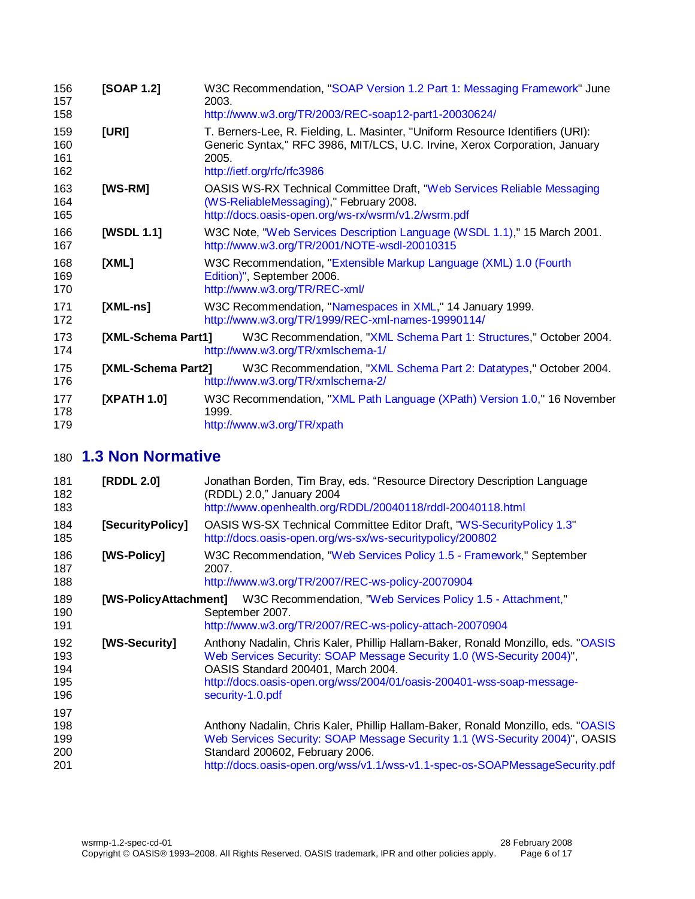<span id="page-5-4"></span><span id="page-5-3"></span><span id="page-5-2"></span><span id="page-5-0"></span>

| 156<br>157<br>158        | [SOAP 1.2]         | W3C Recommendation, "SOAP Version 1.2 Part 1: Messaging Framework" June<br>2003.<br>http://www.w3.org/TR/2003/REC-soap12-part1-20030624/                                                              |
|--------------------------|--------------------|-------------------------------------------------------------------------------------------------------------------------------------------------------------------------------------------------------|
| 159<br>160<br>161<br>162 | [URI]              | T. Berners-Lee, R. Fielding, L. Masinter, "Uniform Resource Identifiers (URI):<br>Generic Syntax," RFC 3986, MIT/LCS, U.C. Irvine, Xerox Corporation, January<br>2005.<br>http://ietf.org/rfc/rfc3986 |
| 163<br>164<br>165        | [WS-RM]            | <b>OASIS WS-RX Technical Committee Draft, "Web Services Reliable Messaging</b><br>(WS-ReliableMessaging)," February 2008.<br>http://docs.oasis-open.org/ws-rx/wsrm/v1.2/wsrm.pdf                      |
| 166<br>167               | [WSDL 1.1]         | W3C Note, "Web Services Description Language (WSDL 1.1)," 15 March 2001.<br>http://www.w3.org/TR/2001/NOTE-wsdl-20010315                                                                              |
| 168<br>169<br>170        | [XML]              | W3C Recommendation, "Extensible Markup Language (XML) 1.0 (Fourth<br>Edition)", September 2006.<br>http://www.w3.org/TR/REC-xml/                                                                      |
| 171<br>172               | $[XML-ns]$         | W3C Recommendation, "Namespaces in XML," 14 January 1999.<br>http://www.w3.org/TR/1999/REC-xml-names-19990114/                                                                                        |
| 173<br>174               | [XML-Schema Part1] | W3C Recommendation, "XML Schema Part 1: Structures," October 2004.<br>http://www.w3.org/TR/xmlschema-1/                                                                                               |
| 175<br>176               | [XML-Schema Part2] | W3C Recommendation, "XML Schema Part 2: Datatypes," October 2004.<br>http://www.w3.org/TR/xmlschema-2/                                                                                                |
| 177<br>178<br>179        | [XPATH 1.0]        | W3C Recommendation, "XML Path Language (XPath) Version 1.0," 16 November<br>1999.<br>http://www.w3.org/TR/xpath                                                                                       |

# <span id="page-5-10"></span><span id="page-5-9"></span><span id="page-5-7"></span><span id="page-5-6"></span><span id="page-5-5"></span>**1.3 Non Normative**

<span id="page-5-13"></span><span id="page-5-12"></span><span id="page-5-11"></span><span id="page-5-8"></span><span id="page-5-1"></span>

| 181<br>182<br>183               | [RDDL 2.0]       | Jonathan Borden, Tim Bray, eds. "Resource Directory Description Language<br>(RDDL) 2.0," January 2004<br>http://www.openhealth.org/RDDL/20040118/rddl-20040118.html                                                                                                                           |
|---------------------------------|------------------|-----------------------------------------------------------------------------------------------------------------------------------------------------------------------------------------------------------------------------------------------------------------------------------------------|
| 184<br>185                      | [SecurityPolicy] | OASIS WS-SX Technical Committee Editor Draft, "WS-Security Policy 1.3"<br>http://docs.oasis-open.org/ws-sx/ws-securitypolicy/200802                                                                                                                                                           |
| 186<br>187<br>188               | [WS-Policy]      | W3C Recommendation, "Web Services Policy 1.5 - Framework," September<br>2007.<br>http://www.w3.org/TR/2007/REC-ws-policy-20070904                                                                                                                                                             |
| 189<br>190<br>191               |                  | [WS-PolicyAttachment] W3C Recommendation, "Web Services Policy 1.5 - Attachment,"<br>September 2007.<br>http://www.w3.org/TR/2007/REC-ws-policy-attach-20070904                                                                                                                               |
| 192<br>193<br>194<br>195<br>196 | [WS-Security]    | Anthony Nadalin, Chris Kaler, Phillip Hallam-Baker, Ronald Monzillo, eds. "OASIS"<br>Web Services Security: SOAP Message Security 1.0 (WS-Security 2004)",<br>OASIS Standard 200401, March 2004.<br>http://docs.oasis-open.org/wss/2004/01/oasis-200401-wss-soap-message-<br>security-1.0.pdf |
| 197<br>198<br>199<br>200<br>201 |                  | Anthony Nadalin, Chris Kaler, Phillip Hallam-Baker, Ronald Monzillo, eds. "OASIS"<br>Web Services Security: SOAP Message Security 1.1 (WS-Security 2004)", OASIS<br>Standard 200602, February 2006.<br>http://docs.oasis-open.org/wss/v1.1/wss-v1.1-spec-os-SOAPMessageSecurity.pdf           |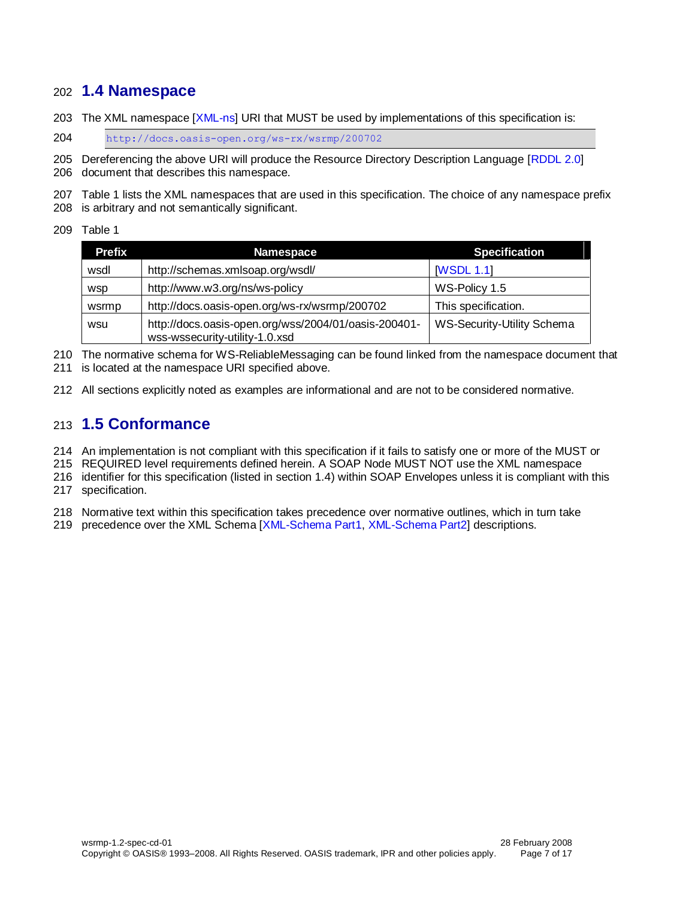### <span id="page-6-0"></span>**1.4 Namespace**

203 The XML namespace [\[XML-ns\]](#page-5-7) URI that MUST be used by implementations of this specification is:

<http://docs.oasis-open.org/ws-rx/wsrmp/200702>

 Dereferencing the above URI will produce the Resource Directory Description Language [\[RDDL 2.0\]](#page-5-8) document that describes this namespace.

 Table 1 lists the XML namespaces that are used in this specification. The choice of any namespace prefix is arbitrary and not semantically significant.

Table 1

| <b>Prefix</b> | <b>Namespace</b>                                                                       | <b>Specification</b>              |
|---------------|----------------------------------------------------------------------------------------|-----------------------------------|
| wsdl          | http://schemas.xmlsoap.org/wsdl/                                                       | <b>IWSDL 1.1</b>                  |
| wsp           | http://www.w3.org/ns/ws-policy                                                         | WS-Policy 1.5                     |
| wsrmp         | http://docs.oasis-open.org/ws-rx/wsrmp/200702                                          | This specification.               |
| wsu           | http://docs.oasis-open.org/wss/2004/01/oasis-200401-<br>wss-wssecurity-utility-1.0.xsd | <b>WS-Security-Utility Schema</b> |

 The normative schema for WS-ReliableMessaging can be found linked from the namespace document that is located at the namespace URI specified above.

All sections explicitly noted as examples are informational and are not to be considered normative.

### <span id="page-6-1"></span>**1.5 Conformance**

An implementation is not compliant with this specification if it fails to satisfy one or more of the MUST or

REQUIRED level requirements defined herein. A SOAP Node MUST NOT use the XML namespace

 identifier for this specification (listed in section [1.4\)](#page-6-0) within SOAP Envelopes unless it is compliant with this specification.

Normative text within this specification takes precedence over normative outlines, which in turn take

precedence over the XML Schema [\[XML-Schema Part1,](#page-5-9) [XML-Schema Part2\]](#page-5-10) descriptions.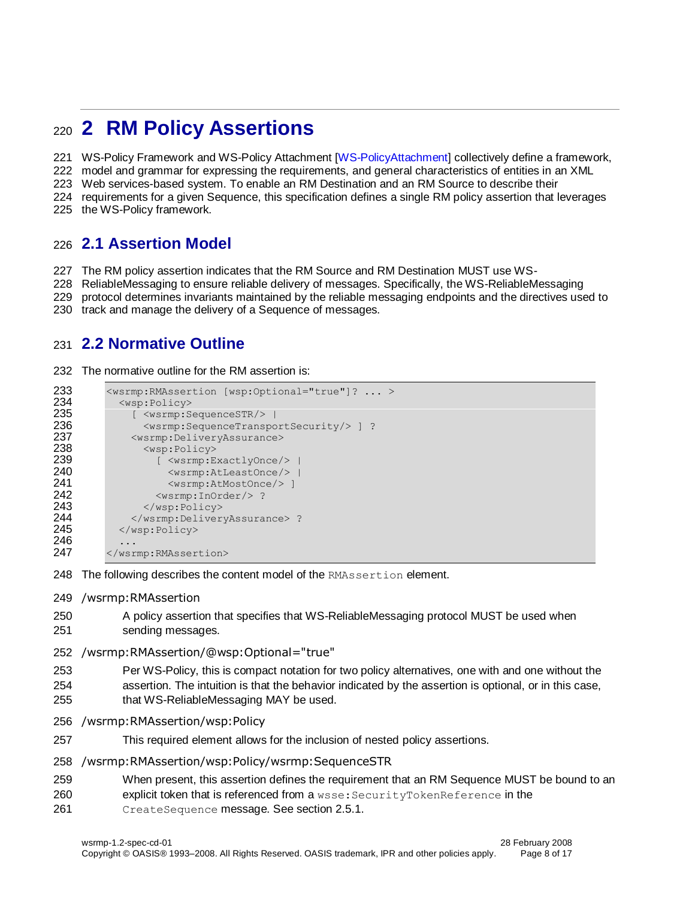# <span id="page-7-0"></span>**2 RM Policy Assertions**

WS-Policy Framework and WS-Policy Attachment [\[WS-PolicyAttachment\]](#page-5-11) collectively define a framework,

model and grammar for expressing the requirements, and general characteristics of entities in an XML

Web services-based system. To enable an RM Destination and an RM Source to describe their

requirements for a given Sequence, this specification defines a single RM policy assertion that leverages

the WS-Policy framework.

### <span id="page-7-1"></span>**2.1 Assertion Model**

The RM policy assertion indicates that the RM Source and RM Destination MUST use WS-

ReliableMessaging to ensure reliable delivery of messages. Specifically, the WS-ReliableMessaging

- protocol determines invariants maintained by the reliable messaging endpoints and the directives used to
- track and manage the delivery of a Sequence of messages.

### <span id="page-7-2"></span>**2.2 Normative Outline**

232 The normative outline for the RM assertion is:

```
233 <wsrmp:RMAssertion [wsp:Optional="true"]? ... ><br>234 <wsp:Policy>
234 <wsp:Policy>
                 [ <wsrmp:SequenceSTR/> |
236 <wsrmp:SequenceTransportSecurity/> ] ?
237 <wsrmp:DeliveryAssurance><br>238 <wsp:Policy>
                   <wsp:Policy>
239 [ <wsrmp:ExactlyOnce/> |
240 <wsrmp:AtLeastOnce/> |
241 \leq \leq \leq \leq \leq \leq \leq \leq \leq \leq \leq \leq \leq \leq \leq \leq \leq \leq \leq \leq \leq \leq \leq \leq \leq \leq \leq \leq \leq \leq \leq \leq \leq \leq \leq \leq \242 <wsrmp:InOrder/>?<br>243 </wsp:Policy>
                   </wsp:Policy>
244 </wsrmp:DeliveryAssurance> ?<br>245 </wsp:Policy>
              </wsp:Policy>
246
247 </wsrmp:RMAssertion>
```
- 248 The following describes the content model of the RMAssertion element.
- /wsrmp:RMAssertion
- A policy assertion that specifies that WS-ReliableMessaging protocol MUST be used when sending messages.
- /wsrmp:RMAssertion/@wsp:Optional="true"
- Per WS-Policy, this is compact notation for two policy alternatives, one with and one without the
- assertion. The intuition is that the behavior indicated by the assertion is optional, or in this case,
- that WS-ReliableMessaging MAY be used.
- /wsrmp:RMAssertion/wsp:Policy
- This required element allows for the inclusion of nested policy assertions.
- /wsrmp:RMAssertion/wsp:Policy/wsrmp:SequenceSTR
- When present, this assertion defines the requirement that an RM Sequence MUST be bound to an
- explicit token that is referenced from a wsse:SecurityTokenReference in the
- CreateSequence message. See section [2.5.1.](#page-10-2)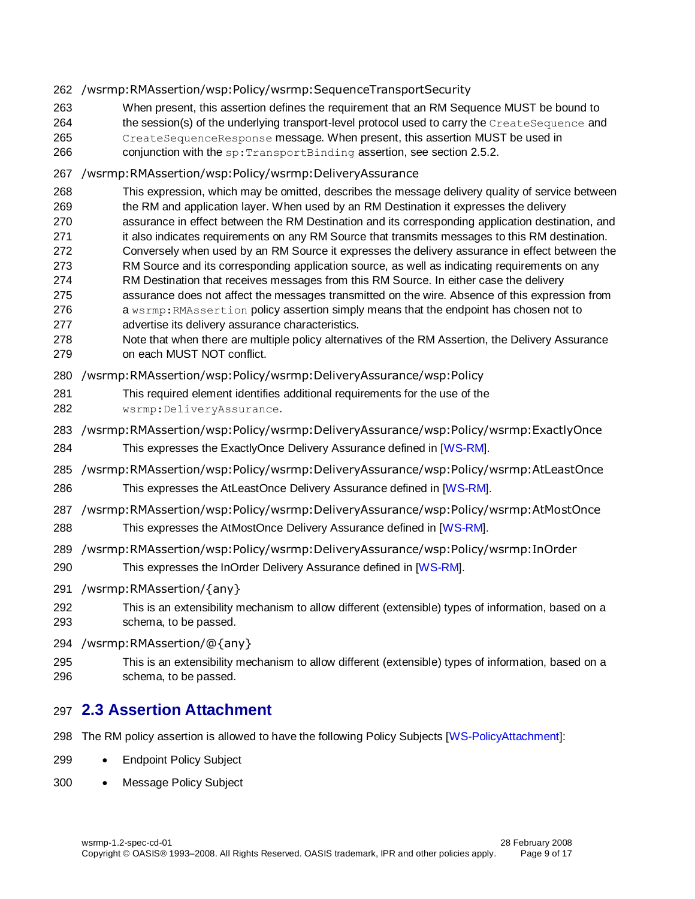#### /wsrmp:RMAssertion/wsp:Policy/wsrmp:SequenceTransportSecurity

- When present, this assertion defines the requirement that an RM Sequence MUST be bound to
- 264 the session(s) of the underlying transport-level protocol used to carry the CreateSequence and
- CreateSequenceResponse message. When present, this assertion MUST be used in
- 266 conjunction with the sp: TransportBinding assertion, see section [2.5.2.](#page-11-0)

#### /wsrmp:RMAssertion/wsp:Policy/wsrmp:DeliveryAssurance

- This expression, which may be omitted, describes the message delivery quality of service between
- the RM and application layer. When used by an RM Destination it expresses the delivery
- assurance in effect between the RM Destination and its corresponding application destination, and 271 it also indicates requirements on any RM Source that transmits messages to this RM destination.
- Conversely when used by an RM Source it expresses the delivery assurance in effect between the
- RM Source and its corresponding application source, as well as indicating requirements on any
- RM Destination that receives messages from this RM Source. In either case the delivery
- assurance does not affect the messages transmitted on the wire. Absence of this expression from 276 a wsrmp: RMAssertion policy assertion simply means that the endpoint has chosen not to
- advertise its delivery assurance characteristics.
- Note that when there are multiple policy alternatives of the RM Assertion, the Delivery Assurance on each MUST NOT conflict.
- /wsrmp:RMAssertion/wsp:Policy/wsrmp:DeliveryAssurance/wsp:Policy
- This required element identifies additional requirements for the use of the
- wsrmp:DeliveryAssurance.
- /wsrmp:RMAssertion/wsp:Policy/wsrmp:DeliveryAssurance/wsp:Policy/wsrmp:ExactlyOnce
- This expresses the ExactlyOnce Delivery Assurance defined in [\[WS-RM\]](#page-5-0).
- /wsrmp:RMAssertion/wsp:Policy/wsrmp:DeliveryAssurance/wsp:Policy/wsrmp:AtLeastOnce
- 286 This expresses the AtLeastOnce Delivery Assurance defined in [\[WS-RM\]](#page-5-0).
- /wsrmp:RMAssertion/wsp:Policy/wsrmp:DeliveryAssurance/wsp:Policy/wsrmp:AtMostOnce
- This expresses the AtMostOnce Delivery Assurance defined in [\[WS-RM\]](#page-5-0).

### /wsrmp:RMAssertion/wsp:Policy/wsrmp:DeliveryAssurance/wsp:Policy/wsrmp:InOrder

- 290 This expresses the InOrder Delivery Assurance defined in [\[WS-RM\]](#page-5-0).
- /wsrmp:RMAssertion/{any}
- This is an extensibility mechanism to allow different (extensible) types of information, based on a schema, to be passed.
- /wsrmp:RMAssertion/@{any}
- This is an extensibility mechanism to allow different (extensible) types of information, based on a schema, to be passed.

## <span id="page-8-0"></span>**2.3 Assertion Attachment**

- The RM policy assertion is allowed to have the following Policy Subjects [\[WS-PolicyAttachment\]](#page-5-11):
- 299 Endpoint Policy Subject
- 300 Message Policy Subject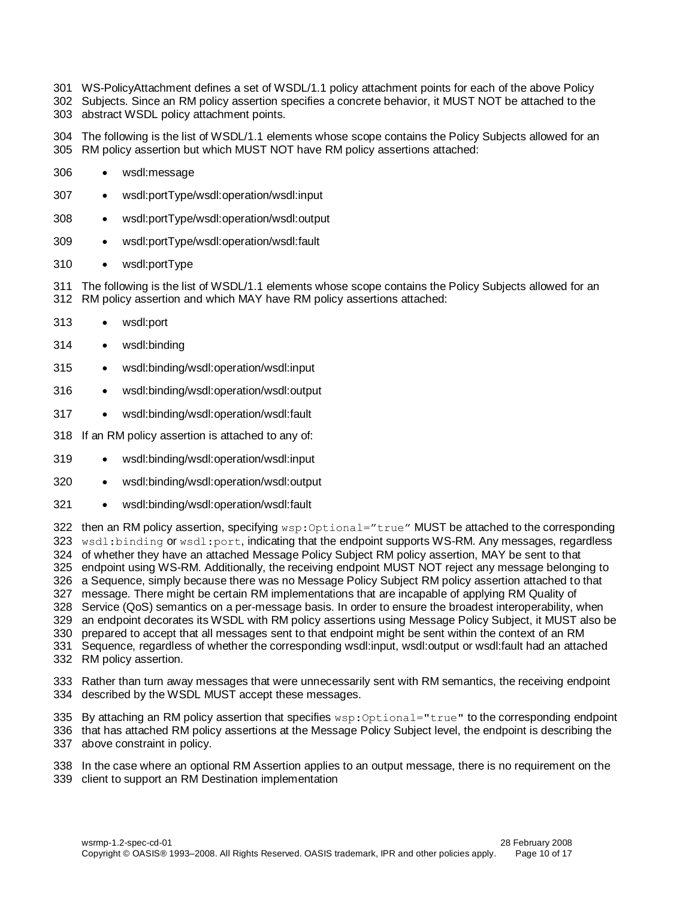- WS-PolicyAttachment defines a set of WSDL/1.1 policy attachment points for each of the above Policy
- Subjects. Since an RM policy assertion specifies a concrete behavior, it MUST NOT be attached to the abstract WSDL policy attachment points.

 The following is the list of WSDL/1.1 elements whose scope contains the Policy Subjects allowed for an RM policy assertion but which MUST NOT have RM policy assertions attached:

- wsdl:message
- wsdl:portType/wsdl:operation/wsdl:input
- wsdl:portType/wsdl:operation/wsdl:output
- wsdl:portType/wsdl:operation/wsdl:fault
- 310 · wsdl:portType

 The following is the list of WSDL/1.1 elements whose scope contains the Policy Subjects allowed for an RM policy assertion and which MAY have RM policy assertions attached:

- wsdl:port
- wsdl:binding
- wsdl:binding/wsdl:operation/wsdl:input
- wsdl:binding/wsdl:operation/wsdl:output
- wsdl:binding/wsdl:operation/wsdl:fault
- If an RM policy assertion is attached to any of:
- wsdl:binding/wsdl:operation/wsdl:input
- wsdl:binding/wsdl:operation/wsdl:output
- 321 wsdl:binding/wsdl:operation/wsdl:fault

322 then an RM policy assertion, specifying wsp: Optional="true" MUST be attached to the corresponding 323 wsdl:binding or wsdl:port, indicating that the endpoint supports WS-RM. Any messages, regardless of whether they have an attached Message Policy Subject RM policy assertion, MAY be sent to that endpoint using WS-RM. Additionally, the receiving endpoint MUST NOT reject any message belonging to a Sequence, simply because there was no Message Policy Subject RM policy assertion attached to that message. There might be certain RM implementations that are incapable of applying RM Quality of Service (QoS) semantics on a per-message basis. In order to ensure the broadest interoperability, when an endpoint decorates its WSDL with RM policy assertions using Message Policy Subject, it MUST also be prepared to accept that all messages sent to that endpoint might be sent within the context of an RM Sequence, regardless of whether the corresponding wsdl:input, wsdl:output or wsdl:fault had an attached RM policy assertion.

 Rather than turn away messages that were unnecessarily sent with RM semantics, the receiving endpoint described by the WSDL MUST accept these messages.

335 By attaching an RM policy assertion that specifies wsp: Optional="true" to the corresponding endpoint that has attached RM policy assertions at the Message Policy Subject level, the endpoint is describing the above constraint in policy.

 In the case where an optional RM Assertion applies to an output message, there is no requirement on the client to support an RM Destination implementation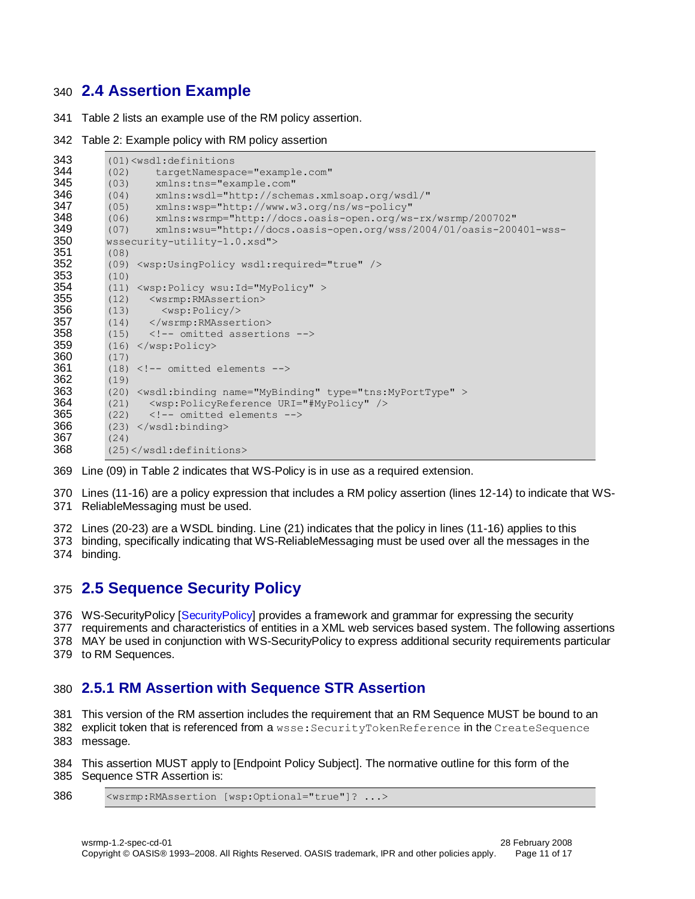### <span id="page-10-0"></span>**2.4 Assertion Example**

Table 2 lists an example use of the RM policy assertion.

#### Table 2: Example policy with RM policy assertion

```
343 (01)<wsdl:definitions
344 (02) targetNamespace="example.com"<br>345 (03) xmlns:tns="example.com"
          345 (03) xmlns:tns="example.com"
346 (04) xmlns:wsdl="http://schemas.xmlsoap.org/wsdl/"
347 (05) xmlns:wsp="http://www.w3.org/ns/ws-policy"
348 (06) xmlns:wsrmp="http://docs.oasis-open.org/ws-rx/wsrmp/200702"
349 (07) xmlns:wsu="http://docs.oasis-open.org/wss/2004/01/oasis-200401-wss-<br>350 wasequity-utilityity-1 0 xsd"350 wssecurity-utility-1.0.xsd">
351 (08)<br>352 (09)
          352 (09) <wsp:UsingPolicy wsdl:required="true" />
353 (10)
354 (11) <wsp:Policy wsu:Id="MyPolicy" ><br>355 (12) <wsrmp:RMAssertion>
          (12) <wsrmp: RMAssertion>
356 (13) <wsp:Policy/>
357 (14) </wsrmp:RMAssertion><br>358 (15) <!-- omitted asserti
          (15) < !-- omitted assertions -->
359 (16) </wsp:Policy><br>360 (17)
          (17)361 (18) \langle --- omitted elements --><br>362 (19)
          (19)363 (20) <wsdl:binding name="MyBinding" type="tns:MyPortType" >
364 (21) \langle \text{wsp:PolicyReference URL} = \text{WNP} /><br>365 (22) \langle \text{!-- omitted elements --} \rangle(22) <!-- omitted elements -->
366 (23) </wsdl:binding>
367 (24)<br>368 (25)
          368 (25)</wsdl:definitions>
```
Line (09) in Table 2 indicates that WS-Policy is in use as a required extension.

 Lines (11-16) are a policy expression that includes a RM policy assertion (lines 12-14) to indicate that WS-ReliableMessaging must be used.

Lines (20-23) are a WSDL binding. Line (21) indicates that the policy in lines (11-16) applies to this

 binding, specifically indicating that WS-ReliableMessaging must be used over all the messages in the binding.

### <span id="page-10-1"></span>**2.5 Sequence Security Policy**

WS-SecurityPolicy [\[SecurityPolicy\]](#page-5-12) provides a framework and grammar for expressing the security

 requirements and characteristics of entities in a XML web services based system. The following assertions MAY be used in conjunction with WS-SecurityPolicy to express additional security requirements particular

to RM Sequences.

### <span id="page-10-2"></span>**2.5.1 RM Assertion with Sequence STR Assertion**

This version of the RM assertion includes the requirement that an RM Sequence MUST be bound to an

 explicit token that is referenced from a wsse:SecurityTokenReference in the CreateSequence message.

 This assertion MUST apply to [Endpoint Policy Subject]. The normative outline for this form of the Sequence STR Assertion is:

<wsrmp:RMAssertion [wsp:Optional="true"]? ...>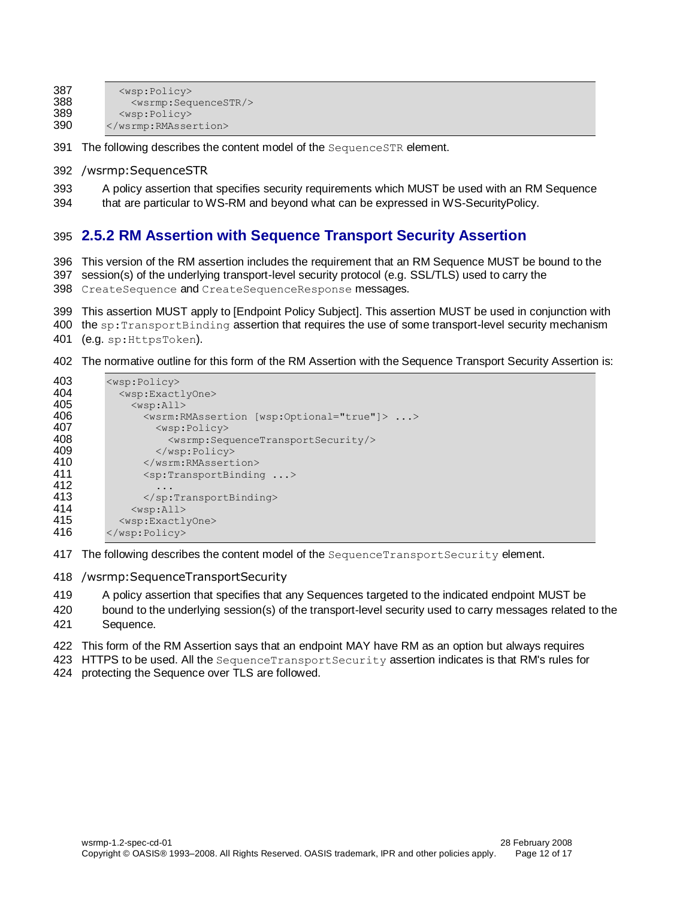| 387 | $<$ wsp:Policy>                         |
|-----|-----------------------------------------|
| 388 | <wsrmp:sequencestr></wsrmp:sequencestr> |
| 389 | $<$ wsp:Policy>                         |
| 390 |                                         |

391 The following describes the content model of the SequenceSTR element.

- /wsrmp:SequenceSTR
- A policy assertion that specifies security requirements which MUST be used with an RM Sequence
- that are particular to WS-RM and beyond what can be expressed in WS-SecurityPolicy.

### <span id="page-11-0"></span>**2.5.2 RM Assertion with Sequence Transport Security Assertion**

This version of the RM assertion includes the requirement that an RM Sequence MUST be bound to the

- session(s) of the underlying transport-level security protocol (e.g. SSL/TLS) used to carry the
- 398 CreateSequence and CreateSequenceResponse messages.
- This assertion MUST apply to [Endpoint Policy Subject]. This assertion MUST be used in conjunction with
- 400 the sp: TransportBinding assertion that requires the use of some transport-level security mechanism
- (e.g. sp:HttpsToken).
- The normative outline for this form of the RM Assertion with the Sequence Transport Security Assertion is:

| 403 | $<$ wsp:Policy>                                                      |  |  |  |
|-----|----------------------------------------------------------------------|--|--|--|
| 404 | <wsp:exactlyone></wsp:exactlyone>                                    |  |  |  |
| 405 | $<$ wsp:All>                                                         |  |  |  |
| 406 | <wsrm:rmassertion [wsp:optional="true" ]=""> &gt;</wsrm:rmassertion> |  |  |  |
| 407 | $<$ wsp:Policy>                                                      |  |  |  |
| 408 | <wsrmp:sequencetransportsecurity></wsrmp:sequencetransportsecurity>  |  |  |  |
| 409 | $\langle$ /wsp:Policy>                                               |  |  |  |
| 410 |                                                                      |  |  |  |
| 411 | $\langle sp:TransportBinding \dots \rangle$                          |  |  |  |
| 412 | $\ddot{\phantom{0}}$ .                                               |  |  |  |
| 413 |                                                                      |  |  |  |
| 414 | $<$ wsp:All>                                                         |  |  |  |
| 415 | <wsp:exactlyone></wsp:exactlyone>                                    |  |  |  |
| 416 | $\langle$ /wsp:Policy>                                               |  |  |  |

- 417 The following describes the content model of the SequenceTransportSecurity element.
- /wsrmp:SequenceTransportSecurity
- A policy assertion that specifies that any Sequences targeted to the indicated endpoint MUST be
- bound to the underlying session(s) of the transport-level security used to carry messages related to the Sequence.
- This form of the RM Assertion says that an endpoint MAY have RM as an option but always requires
- HTTPS to be used. All the SequenceTransportSecurity assertion indicates is that RM's rules for protecting the Sequence over TLS are followed.
-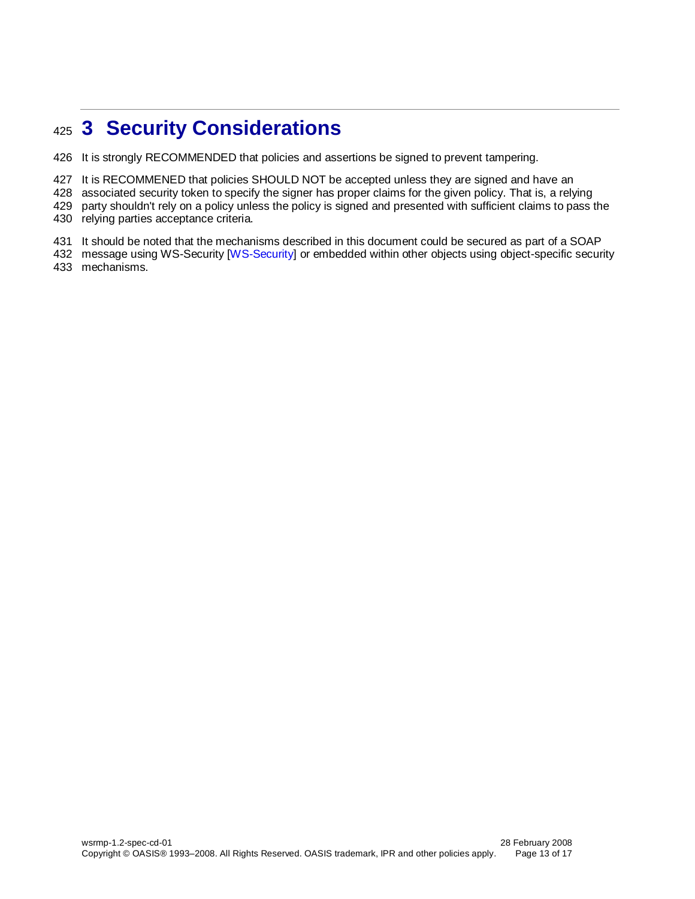# <span id="page-12-0"></span>**3 Security Considerations**

It is strongly RECOMMENDED that policies and assertions be signed to prevent tampering.

It is RECOMMENED that policies SHOULD NOT be accepted unless they are signed and have an

associated security token to specify the signer has proper claims for the given policy. That is, a relying

429 party shouldn't rely on a policy unless the policy is signed and presented with sufficient claims to pass the

relying parties acceptance criteria.

It should be noted that the mechanisms described in this document could be secured as part of a SOAP

432 message using WS-Security [\[WS-Security\]](#page-5-13) or embedded within other objects using object-specific security mechanisms.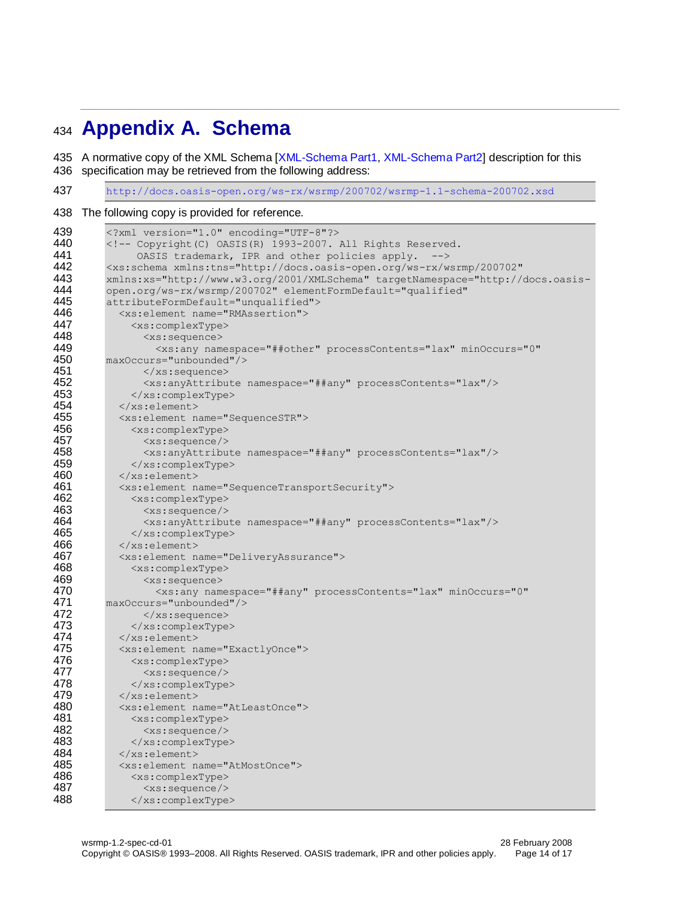# <span id="page-13-0"></span>**Appendix A. Schema**

435 A normative copy of the XML Schema [\[XML-Schema Part1,](#page-5-9) [XML-Schema Part2\]](#page-5-10) description for this 436 specification may be retrieved from the following address:

<http://docs.oasis-open.org/ws-rx/wsrmp/200702/wsrmp-1.1-schema-200702.xsd>

#### The following copy is provided for reference.

| 439 | xml version="1.0" encoding="UTF-8"?                                                          |
|-----|----------------------------------------------------------------------------------------------|
| 440 | <!-- Copyright (C) OASIS (R) 1993-2007. All Rights Reserved.</th>                            |
| 441 | OASIS trademark, IPR and other policies apply.<br>$--&$                                      |
| 442 | <xs:schema <="" th="" xmlns:tns="http://docs.oasis-open.org/ws-rx/wsrmp/200702"></xs:schema> |
| 443 | xmlns:xs="http://www.w3.org/2001/XMLSchema" targetNamespace="http://docs.oasis-              |
| 444 | open.org/ws-rx/wsrmp/200702" elementFormDefault="qualified"                                  |
| 445 | attributeFormDefault="unqualified">                                                          |
| 446 | <xs:element name="RMAssertion"></xs:element>                                                 |
| 447 | <xs:complextype></xs:complextype>                                                            |
| 448 | <xs:sequence></xs:sequence>                                                                  |
| 449 | <xs:any <="" minoccurs="0" namespace="##other" processcontents="lax" th=""></xs:any>         |
| 450 | maxOccurs="unbounded"/>                                                                      |
| 451 | $\langle xs:sequence \rangle$                                                                |
| 452 | <xs:anyattribute namespace="##any" processcontents="lax"></xs:anyattribute>                  |
| 453 |                                                                                              |
| 454 |                                                                                              |
| 455 | <xs:element name="SequenceSTR"></xs:element>                                                 |
| 456 | <xs:complextype></xs:complextype>                                                            |
| 457 | $<$ xs: sequence/>                                                                           |
| 458 | <xs:anyattribute namespace="##any" processcontents="lax"></xs:anyattribute>                  |
| 459 |                                                                                              |
| 460 | $\langle x s : \text{element} \rangle$                                                       |
| 461 | <xs:element name="SequenceTransportSecurity"></xs:element>                                   |
| 462 | <xs:complextype></xs:complextype>                                                            |
| 463 | $<$ xs: sequence/>                                                                           |
| 464 | <xs:anyattribute namespace="##any" processcontents="lax"></xs:anyattribute>                  |
| 465 |                                                                                              |
| 466 | $\langle xs : \text{element} \rangle$                                                        |
| 467 | <xs:element name="DeliveryAssurance"></xs:element>                                           |
| 468 | <xs:complextype></xs:complextype>                                                            |
| 469 | <xs:sequence></xs:sequence>                                                                  |
| 470 | <xs:any <="" minoccurs="0" namespace="##any" processcontents="lax" th=""></xs:any>           |
| 471 | maxOccurs="unbounded"/>                                                                      |
| 472 | $\langle xs:sequence \rangle$                                                                |
| 473 |                                                                                              |
| 474 | $\langle xs : \text{element} \rangle$                                                        |
| 475 | <xs:element name="ExactlyOnce"></xs:element>                                                 |
| 476 | <xs:complextype></xs:complextype>                                                            |
| 477 | $<$ xs: sequence/>                                                                           |
| 478 |                                                                                              |
| 479 | $\langle xs : \text{element} \rangle$                                                        |
| 480 | <xs:element name="AtLeastOnce"></xs:element>                                                 |
| 481 | <xs:complextype></xs:complextype>                                                            |
| 482 | $\langle xs:sequence \rangle$                                                                |
| 483 |                                                                                              |
| 484 | $\langle xs : \text{element} \rangle$                                                        |
| 485 | <xs:element name="AtMostOnce"></xs:element>                                                  |
| 486 | <xs:complextype></xs:complextype>                                                            |
| 487 | $<$ xs: sequence/>                                                                           |
| 488 |                                                                                              |
|     |                                                                                              |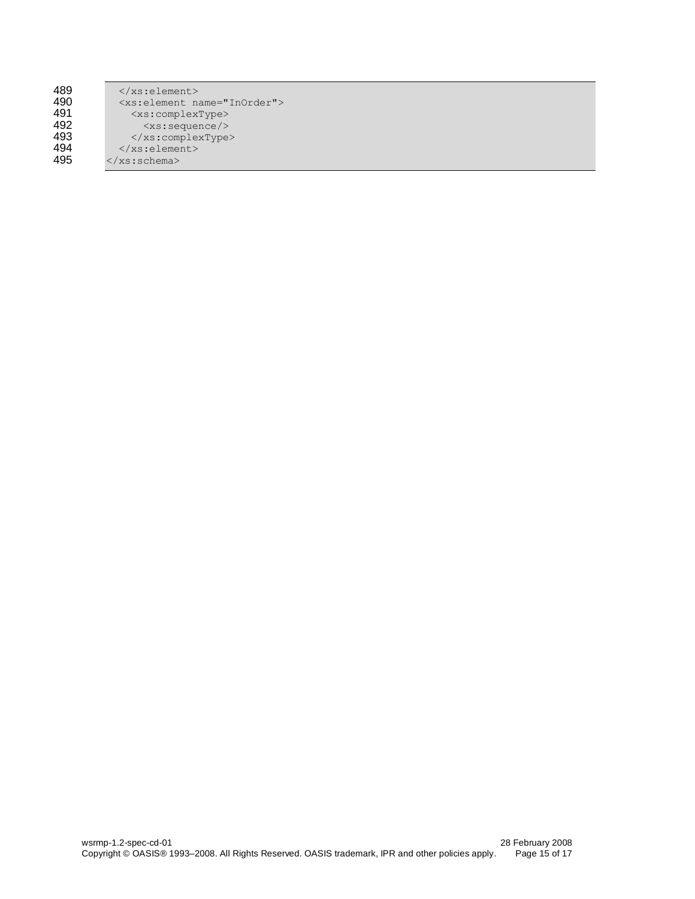| 489 |
|-----|
| 490 |
| 491 |
| 492 |
| 493 |
| 494 |
| 495 |

 $\langle xs:\text{element}\rangle$ 490 <xs:element name="InOrder"> 491 <xs:complexType> 492 <xs:sequence/> 493 </xs:complexType>  $\langle xs:element\rangle$ 495 </xs:schema>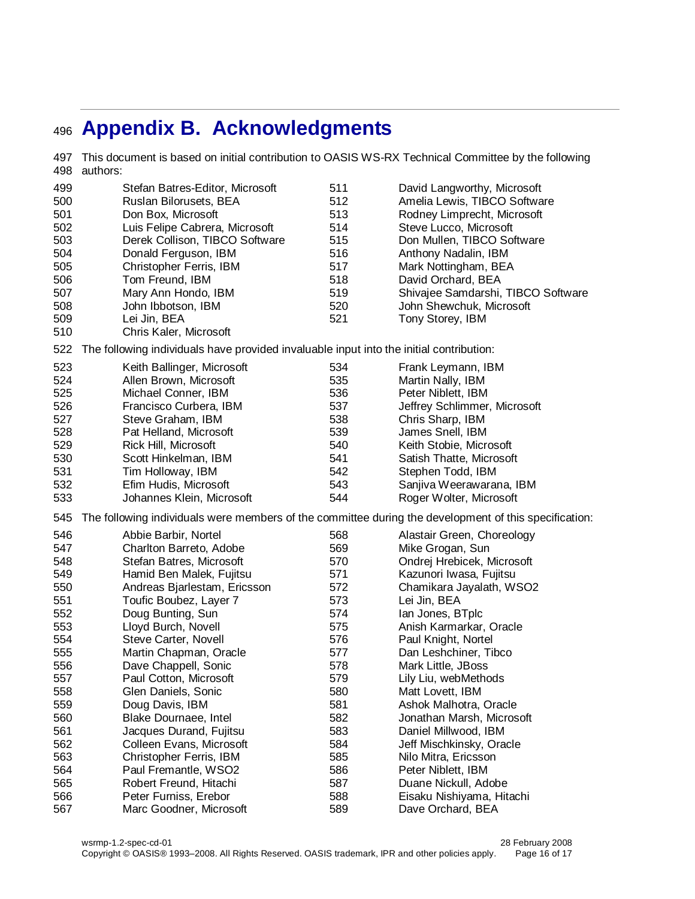# <span id="page-15-0"></span>**Appendix B. Acknowledgments**

 This document is based on initial contribution to OASIS WS-RX Technical Committee by the following authors: Stefan Batres-Editor, Microsoft Ruslan Bilorusets, BEA Don Box, Microsoft Luis Felipe Cabrera, Microsoft Derek Collison, TIBCO Software Donald Ferguson, IBM Christopher Ferris, IBM Tom Freund, IBM Mary Ann Hondo, IBM John Ibbotson, IBM Lei Jin, BEA Chris Kaler, Microsoft David Langworthy, Microsoft Amelia Lewis, TIBCO Software Rodney Limprecht, Microsoft Steve Lucco, Microsoft Don Mullen, TIBCO Software Anthony Nadalin, IBM Mark Nottingham, BEA David Orchard, BEA Shivajee Samdarshi, TIBCO Software John Shewchuk, Microsoft Tony Storey, IBM The following individuals have provided invaluable input into the initial contribution: Keith Ballinger, Microsoft Allen Brown, Microsoft Michael Conner, IBM Francisco Curbera, IBM Steve Graham, IBM Pat Helland, Microsoft Rick Hill, Microsoft Scott Hinkelman, IBM Tim Holloway, IBM Efim Hudis, Microsoft Johannes Klein, Microsoft Frank Leymann, IBM Martin Nally, IBM Peter Niblett, IBM Jeffrey Schlimmer, Microsoft Chris Sharp, IBM James Snell, IBM Keith Stobie, Microsoft Satish Thatte, Microsoft Stephen Todd, IBM Sanjiva Weerawarana, IBM Roger Wolter, Microsoft The following individuals were members of the committee during the development of this specification: Abbie Barbir, Nortel Charlton Barreto, Adobe Stefan Batres, Microsoft Hamid Ben Malek, Fujitsu Andreas Bjarlestam, Ericsson Toufic Boubez, Layer 7 Doug Bunting, Sun Lloyd Burch, Novell Steve Carter, Novell Martin Chapman, Oracle Dave Chappell, Sonic Paul Cotton, Microsoft Glen Daniels, Sonic Doug Davis, IBM Blake Dournaee, Intel Jacques Durand, Fujitsu Colleen Evans, Microsoft Christopher Ferris, IBM Paul Fremantle, WSO2 Robert Freund, Hitachi Peter Furniss, Erebor Marc Goodner, Microsoft Alastair Green, Choreology Mike Grogan, Sun Ondrej Hrebicek, Microsoft Kazunori Iwasa, Fujitsu Chamikara Jayalath, WSO2 Lei Jin, BEA Ian Jones, BTplc Anish Karmarkar, Oracle Paul Knight, Nortel Dan Leshchiner, Tibco Mark Little, JBoss Lily Liu, webMethods Matt Lovett, IBM Ashok Malhotra, Oracle Jonathan Marsh, Microsoft Daniel Millwood, IBM Jeff Mischkinsky, Oracle Nilo Mitra, Ericsson Peter Niblett, IBM Duane Nickull, Adobe Eisaku Nishiyama, Hitachi Dave Orchard, BEA